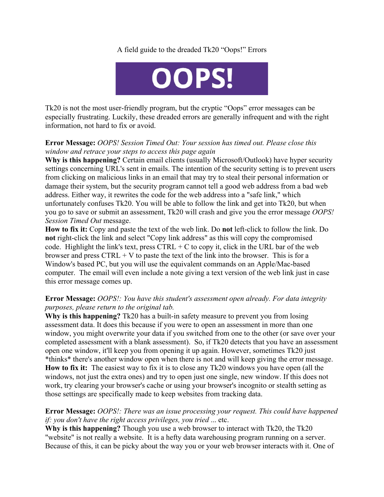## A field guide to the dreaded Tk20 "Oops!" Errors



Tk20 is not the most user-friendly program, but the cryptic "Oops" error messages can be especially frustrating. Luckily, these dreaded errors are generally infrequent and with the right information, not hard to fix or avoid.

## **Error Message:** *OOPS! Session Timed Out: Your session has timed out. Please close this window and retrace your steps to access this page again*

**Why is this happening?** Certain email clients (usually Microsoft/Outlook) have hyper security settings concerning URL's sent in emails. The intention of the security setting is to prevent users from clicking on malicious links in an email that may try to steal their personal information or damage their system, but the security program cannot tell a good web address from a bad web address. Either way, it rewrites the code for the web address into a "safe link," which unfortunately confuses Tk20. You will be able to follow the link and get into Tk20, but when you go to save or submit an assessment, Tk20 will crash and give you the error message *OOPS! Session Timed Out* message.

**How to fix it:** Copy and paste the text of the web link. Do **not** left-click to follow the link. Do **not** right-click the link and select "Copy link address" as this will copy the compromised code. Highlight the link's text, press  $CTRL + C$  to copy it, click in the URL bar of the web browser and press  $CTRL + V$  to paste the text of the link into the browser. This is for a Window's based PC, but you will use the equivalent commands on an Apple/Mac-based computer. The email will even include a note giving a text version of the web link just in case this error message comes up.

## **Error Message:** *OOPS!: You have this student's assessment open already. For data integrity purposes, please return to the original tab.*

**Why is this happening?** Tk20 has a built-in safety measure to prevent you from losing assessment data. It does this because if you were to open an assessment in more than one window, you might overwrite your data if you switched from one to the other (or save over your completed assessment with a blank assessment). So, if Tk20 detects that you have an assessment open one window, it'll keep you from opening it up again. However, sometimes Tk20 just \*thinks\* there's another window open when there is not and will keep giving the error message. **How to fix it:** The easiest way to fix it is to close any Tk20 windows you have open (all the windows, not just the extra ones) and try to open just one single, new window. If this does not work, try clearing your browser's cache or using your browser's incognito or stealth setting as those settings are specifically made to keep websites from tracking data.

## **Error Message:** *OOPS!: There was an issue processing your request. This could have happened if: you don't have the right access privileges, you tried* ... etc.

**Why is this happening?** Though you use a web browser to interact with Tk20, the Tk20 "website" is not really a website. It is a hefty data warehousing program running on a server. Because of this, it can be picky about the way you or your web browser interacts with it. One of